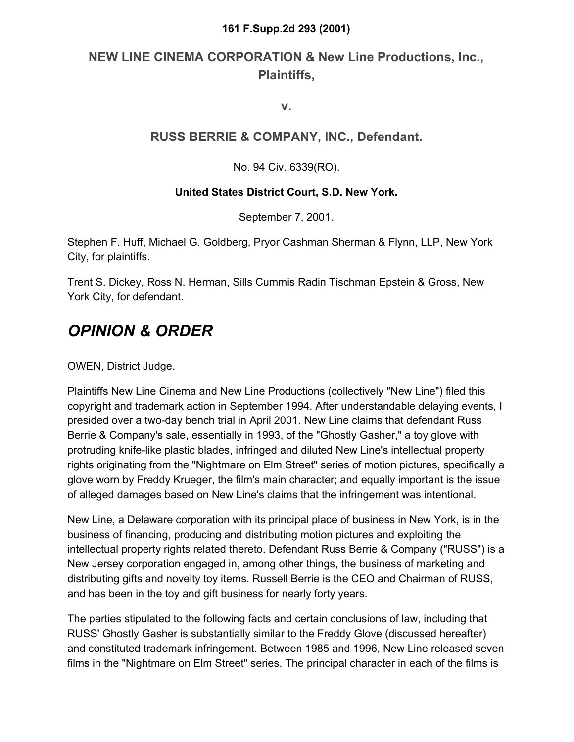#### **161 F.Supp.2d 293 (2001)**

## **NEW LINE CINEMA CORPORATION & New Line Productions, Inc., Plaintiffs,**

**v.**

### **RUSS BERRIE & COMPANY, INC., Defendant.**

No. 94 Civ. 6339(RO).

#### **United States District Court, S.D. New York.**

September 7, 2001.

Stephen F. Huff, Michael G. Goldberg, Pryor Cashman Sherman & Flynn, LLP, New York City, for plaintiffs.

Trent S. Dickey, Ross N. Herman, Sills Cummis Radin Tischman Epstein & Gross, New York City, for defendant.

# *OPINION & ORDER*

OWEN, District Judge.

Plaintiffs New Line Cinema and New Line Productions (collectively "New Line") filed this copyright and trademark action in September 1994. After understandable delaying events, I presided over a two-day bench trial in April 2001. New Line claims that defendant Russ Berrie & Company's sale, essentially in 1993, of the "Ghostly Gasher," a toy glove with protruding knife-like plastic blades, infringed and diluted New Line's intellectual property rights originating from the "Nightmare on Elm Street" series of motion pictures, specifically a glove worn by Freddy Krueger, the film's main character; and equally important is the issue of alleged damages based on New Line's claims that the infringement was intentional.

New Line, a Delaware corporation with its principal place of business in New York, is in the business of financing, producing and distributing motion pictures and exploiting the intellectual property rights related thereto. Defendant Russ Berrie & Company ("RUSS") is a New Jersey corporation engaged in, among other things, the business of marketing and distributing gifts and novelty toy items. Russell Berrie is the CEO and Chairman of RUSS, and has been in the toy and gift business for nearly forty years.

The parties stipulated to the following facts and certain conclusions of law, including that RUSS' Ghostly Gasher is substantially similar to the Freddy Glove (discussed hereafter) and constituted trademark infringement. Between 1985 and 1996, New Line released seven films in the "Nightmare on Elm Street" series. The principal character in each of the films is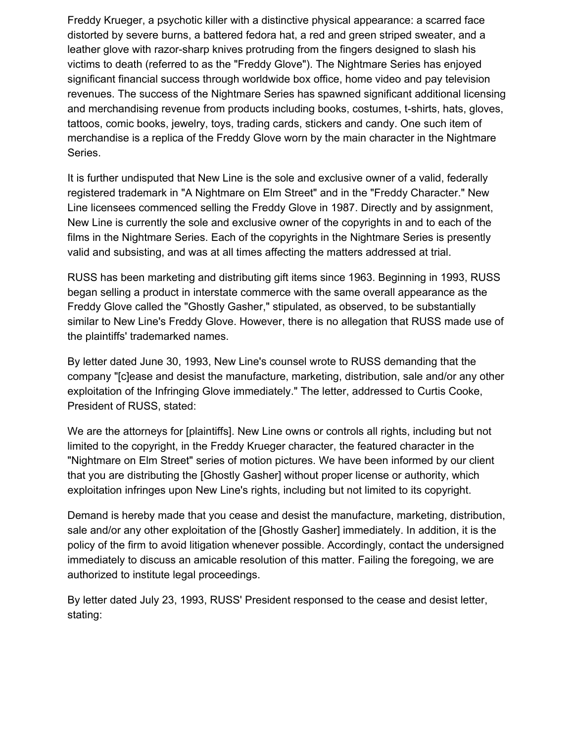Freddy Krueger, a psychotic killer with a distinctive physical appearance: a scarred face distorted by severe burns, a battered fedora hat, a red and green striped sweater, and a leather glove with razor-sharp knives protruding from the fingers designed to slash his victims to death (referred to as the "Freddy Glove"). The Nightmare Series has enjoyed significant financial success through worldwide box office, home video and pay television revenues. The success of the Nightmare Series has spawned significant additional licensing and merchandising revenue from products including books, costumes, t-shirts, hats, gloves, tattoos, comic books, jewelry, toys, trading cards, stickers and candy. One such item of merchandise is a replica of the Freddy Glove worn by the main character in the Nightmare Series.

It is further undisputed that New Line is the sole and exclusive owner of a valid, federally registered trademark in "A Nightmare on Elm Street" and in the "Freddy Character." New Line licensees commenced selling the Freddy Glove in 1987. Directly and by assignment, New Line is currently the sole and exclusive owner of the copyrights in and to each of the films in the Nightmare Series. Each of the copyrights in the Nightmare Series is presently valid and subsisting, and was at all times affecting the matters addressed at trial.

RUSS has been marketing and distributing gift items since 1963. Beginning in 1993, RUSS began selling a product in interstate commerce with the same overall appearance as the Freddy Glove called the "Ghostly Gasher," stipulated, as observed, to be substantially similar to New Line's Freddy Glove. However, there is no allegation that RUSS made use of the plaintiffs' trademarked names.

By letter dated June 30, 1993, New Line's counsel wrote to RUSS demanding that the company "[c]ease and desist the manufacture, marketing, distribution, sale and/or any other exploitation of the Infringing Glove immediately." The letter, addressed to Curtis Cooke, President of RUSS, stated:

We are the attorneys for [plaintiffs]. New Line owns or controls all rights, including but not limited to the copyright, in the Freddy Krueger character, the featured character in the "Nightmare on Elm Street" series of motion pictures. We have been informed by our client that you are distributing the [Ghostly Gasher] without proper license or authority, which exploitation infringes upon New Line's rights, including but not limited to its copyright.

Demand is hereby made that you cease and desist the manufacture, marketing, distribution, sale and/or any other exploitation of the [Ghostly Gasher] immediately. In addition, it is the policy of the firm to avoid litigation whenever possible. Accordingly, contact the undersigned immediately to discuss an amicable resolution of this matter. Failing the foregoing, we are authorized to institute legal proceedings.

By letter dated July 23, 1993, RUSS' President responsed to the cease and desist letter, stating: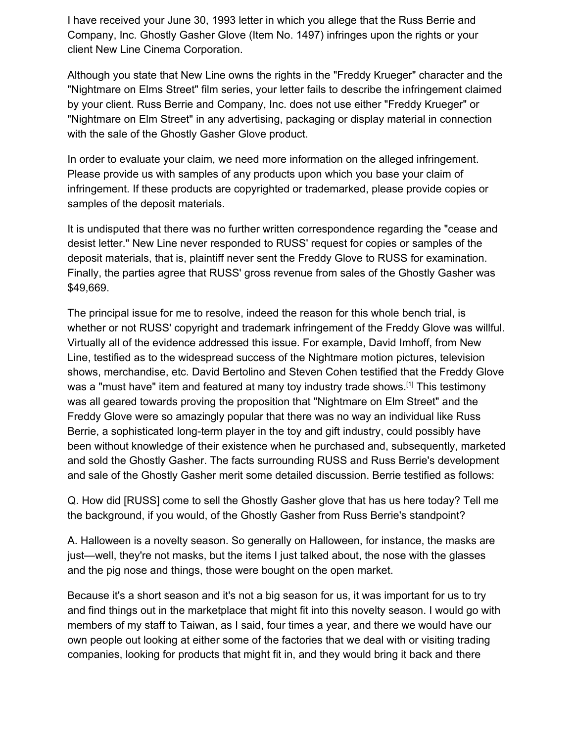I have received your June 30, 1993 letter in which you allege that the Russ Berrie and Company, Inc. Ghostly Gasher Glove (Item No. 1497) infringes upon the rights or your client New Line Cinema Corporation.

Although you state that New Line owns the rights in the "Freddy Krueger" character and the "Nightmare on Elms Street" film series, your letter fails to describe the infringement claimed by your client. Russ Berrie and Company, Inc. does not use either "Freddy Krueger" or "Nightmare on Elm Street" in any advertising, packaging or display material in connection with the sale of the Ghostly Gasher Glove product.

In order to evaluate your claim, we need more information on the alleged infringement. Please provide us with samples of any products upon which you base your claim of infringement. If these products are copyrighted or trademarked, please provide copies or samples of the deposit materials.

It is undisputed that there was no further written correspondence regarding the "cease and desist letter." New Line never responded to RUSS' request for copies or samples of the deposit materials, that is, plaintiff never sent the Freddy Glove to RUSS for examination. Finally, the parties agree that RUSS' gross revenue from sales of the Ghostly Gasher was \$49,669.

The principal issue for me to resolve, indeed the reason for this whole bench trial, is whether or not RUSS' copyright and trademark infringement of the Freddy Glove was willful. Virtually all of the evidence addressed this issue. For example, David Imhoff, from New Line, testified as to the widespread success of the Nightmare motion pictures, television shows, merchandise, etc. David Bertolino and Steven Cohen testified that the Freddy Glove was a "must have" item and featured at many toy industry trade shows.<sup>[1]</sup> This testimony was all geared towards proving the proposition that "Nightmare on Elm Street" and the Freddy Glove were so amazingly popular that there was no way an individual like Russ Berrie, a sophisticated long-term player in the toy and gift industry, could possibly have been without knowledge of their existence when he purchased and, subsequently, marketed and sold the Ghostly Gasher. The facts surrounding RUSS and Russ Berrie's development and sale of the Ghostly Gasher merit some detailed discussion. Berrie testified as follows:

Q. How did [RUSS] come to sell the Ghostly Gasher glove that has us here today? Tell me the background, if you would, of the Ghostly Gasher from Russ Berrie's standpoint?

A. Halloween is a novelty season. So generally on Halloween, for instance, the masks are just—well, they're not masks, but the items I just talked about, the nose with the glasses and the pig nose and things, those were bought on the open market.

Because it's a short season and it's not a big season for us, it was important for us to try and find things out in the marketplace that might fit into this novelty season. I would go with members of my staff to Taiwan, as I said, four times a year, and there we would have our own people out looking at either some of the factories that we deal with or visiting trading companies, looking for products that might fit in, and they would bring it back and there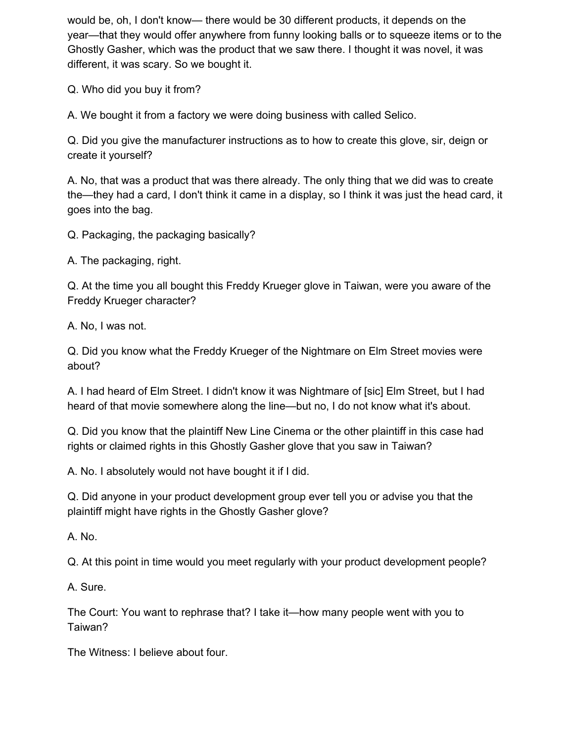would be, oh, I don't know— there would be 30 different products, it depends on the year—that they would offer anywhere from funny looking balls or to squeeze items or to the Ghostly Gasher, which was the product that we saw there. I thought it was novel, it was different, it was scary. So we bought it.

Q. Who did you buy it from?

A. We bought it from a factory we were doing business with called Selico.

Q. Did you give the manufacturer instructions as to how to create this glove, sir, deign or create it yourself?

A. No, that was a product that was there already. The only thing that we did was to create the—they had a card, I don't think it came in a display, so I think it was just the head card, it goes into the bag.

Q. Packaging, the packaging basically?

A. The packaging, right.

Q. At the time you all bought this Freddy Krueger glove in Taiwan, were you aware of the Freddy Krueger character?

A. No, I was not.

Q. Did you know what the Freddy Krueger of the Nightmare on Elm Street movies were about?

A. I had heard of Elm Street. I didn't know it was Nightmare of [sic] Elm Street, but I had heard of that movie somewhere along the line—but no, I do not know what it's about.

Q. Did you know that the plaintiff New Line Cinema or the other plaintiff in this case had rights or claimed rights in this Ghostly Gasher glove that you saw in Taiwan?

A. No. I absolutely would not have bought it if I did.

Q. Did anyone in your product development group ever tell you or advise you that the plaintiff might have rights in the Ghostly Gasher glove?

A. No.

Q. At this point in time would you meet regularly with your product development people?

A. Sure.

The Court: You want to rephrase that? I take it—how many people went with you to Taiwan?

The Witness: I believe about four.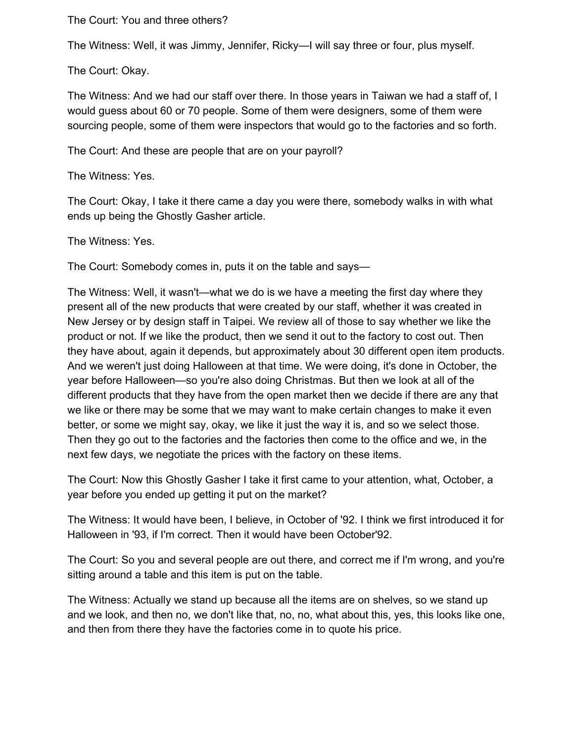The Court: You and three others?

The Witness: Well, it was Jimmy, Jennifer, Ricky—I will say three or four, plus myself.

The Court: Okay.

The Witness: And we had our staff over there. In those years in Taiwan we had a staff of, I would guess about 60 or 70 people. Some of them were designers, some of them were sourcing people, some of them were inspectors that would go to the factories and so forth.

The Court: And these are people that are on your payroll?

The Witness: Yes.

The Court: Okay, I take it there came a day you were there, somebody walks in with what ends up being the Ghostly Gasher article.

The Witness: Yes.

The Court: Somebody comes in, puts it on the table and says—

The Witness: Well, it wasn't—what we do is we have a meeting the first day where they present all of the new products that were created by our staff, whether it was created in New Jersey or by design staff in Taipei. We review all of those to say whether we like the product or not. If we like the product, then we send it out to the factory to cost out. Then they have about, again it depends, but approximately about 30 different open item products. And we weren't just doing Halloween at that time. We were doing, it's done in October, the year before Halloween—so you're also doing Christmas. But then we look at all of the different products that they have from the open market then we decide if there are any that we like or there may be some that we may want to make certain changes to make it even better, or some we might say, okay, we like it just the way it is, and so we select those. Then they go out to the factories and the factories then come to the office and we, in the next few days, we negotiate the prices with the factory on these items.

The Court: Now this Ghostly Gasher I take it first came to your attention, what, October, a year before you ended up getting it put on the market?

The Witness: It would have been, I believe, in October of '92. I think we first introduced it for Halloween in '93, if I'm correct. Then it would have been October'92.

The Court: So you and several people are out there, and correct me if I'm wrong, and you're sitting around a table and this item is put on the table.

The Witness: Actually we stand up because all the items are on shelves, so we stand up and we look, and then no, we don't like that, no, no, what about this, yes, this looks like one, and then from there they have the factories come in to quote his price.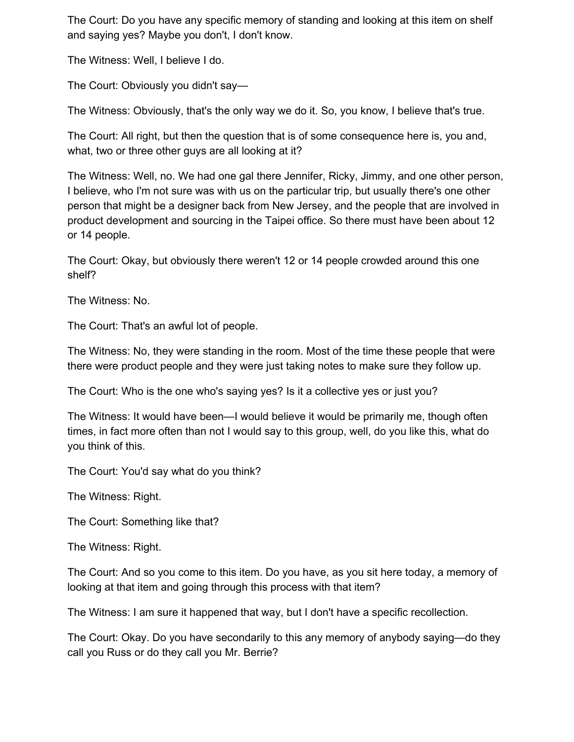The Court: Do you have any specific memory of standing and looking at this item on shelf and saying yes? Maybe you don't, I don't know.

The Witness: Well, I believe I do.

The Court: Obviously you didn't say—

The Witness: Obviously, that's the only way we do it. So, you know, I believe that's true.

The Court: All right, but then the question that is of some consequence here is, you and, what, two or three other guys are all looking at it?

The Witness: Well, no. We had one gal there Jennifer, Ricky, Jimmy, and one other person, I believe, who I'm not sure was with us on the particular trip, but usually there's one other person that might be a designer back from New Jersey, and the people that are involved in product development and sourcing in the Taipei office. So there must have been about 12 or 14 people.

The Court: Okay, but obviously there weren't 12 or 14 people crowded around this one shelf?

The Witness: No.

The Court: That's an awful lot of people.

The Witness: No, they were standing in the room. Most of the time these people that were there were product people and they were just taking notes to make sure they follow up.

The Court: Who is the one who's saying yes? Is it a collective yes or just you?

The Witness: It would have been—I would believe it would be primarily me, though often times, in fact more often than not I would say to this group, well, do you like this, what do you think of this.

The Court: You'd say what do you think?

The Witness: Right.

The Court: Something like that?

The Witness: Right.

The Court: And so you come to this item. Do you have, as you sit here today, a memory of looking at that item and going through this process with that item?

The Witness: I am sure it happened that way, but I don't have a specific recollection.

The Court: Okay. Do you have secondarily to this any memory of anybody saying—do they call you Russ or do they call you Mr. Berrie?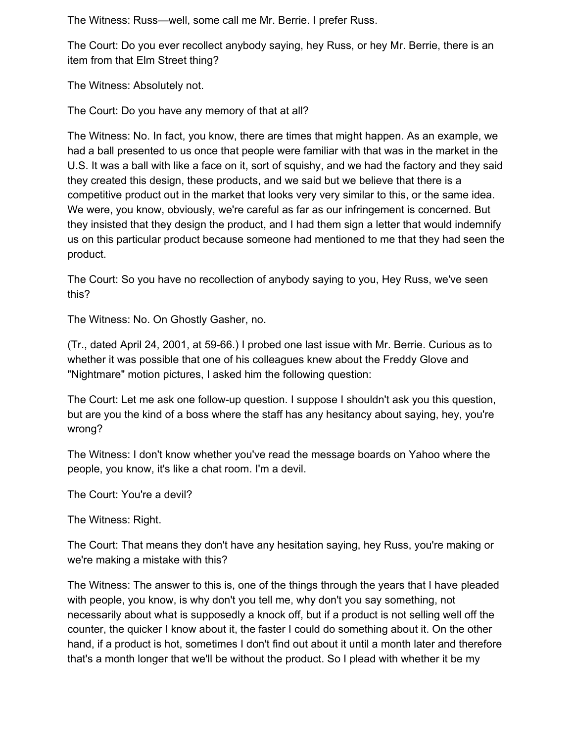The Witness: Russ—well, some call me Mr. Berrie. I prefer Russ.

The Court: Do you ever recollect anybody saying, hey Russ, or hey Mr. Berrie, there is an item from that Elm Street thing?

The Witness: Absolutely not.

The Court: Do you have any memory of that at all?

The Witness: No. In fact, you know, there are times that might happen. As an example, we had a ball presented to us once that people were familiar with that was in the market in the U.S. It was a ball with like a face on it, sort of squishy, and we had the factory and they said they created this design, these products, and we said but we believe that there is a competitive product out in the market that looks very very similar to this, or the same idea. We were, you know, obviously, we're careful as far as our infringement is concerned. But they insisted that they design the product, and I had them sign a letter that would indemnify us on this particular product because someone had mentioned to me that they had seen the product.

The Court: So you have no recollection of anybody saying to you, Hey Russ, we've seen this?

The Witness: No. On Ghostly Gasher, no.

(Tr., dated April 24, 2001, at 59-66.) I probed one last issue with Mr. Berrie. Curious as to whether it was possible that one of his colleagues knew about the Freddy Glove and "Nightmare" motion pictures, I asked him the following question:

The Court: Let me ask one follow-up question. I suppose I shouldn't ask you this question, but are you the kind of a boss where the staff has any hesitancy about saying, hey, you're wrong?

The Witness: I don't know whether you've read the message boards on Yahoo where the people, you know, it's like a chat room. I'm a devil.

The Court: You're a devil?

The Witness: Right.

The Court: That means they don't have any hesitation saying, hey Russ, you're making or we're making a mistake with this?

The Witness: The answer to this is, one of the things through the years that I have pleaded with people, you know, is why don't you tell me, why don't you say something, not necessarily about what is supposedly a knock off, but if a product is not selling well off the counter, the quicker I know about it, the faster I could do something about it. On the other hand, if a product is hot, sometimes I don't find out about it until a month later and therefore that's a month longer that we'll be without the product. So I plead with whether it be my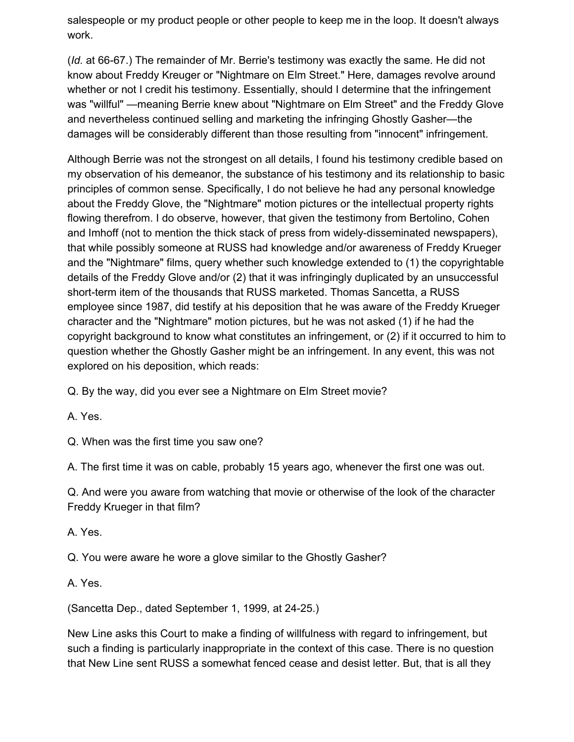salespeople or my product people or other people to keep me in the loop. It doesn't always work.

(*Id.* at 66-67.) The remainder of Mr. Berrie's testimony was exactly the same. He did not know about Freddy Kreuger or "Nightmare on Elm Street." Here, damages revolve around whether or not I credit his testimony. Essentially, should I determine that the infringement was "willful" —meaning Berrie knew about "Nightmare on Elm Street" and the Freddy Glove and nevertheless continued selling and marketing the infringing Ghostly Gasher—the damages will be considerably different than those resulting from "innocent" infringement.

Although Berrie was not the strongest on all details, I found his testimony credible based on my observation of his demeanor, the substance of his testimony and its relationship to basic principles of common sense. Specifically, I do not believe he had any personal knowledge about the Freddy Glove, the "Nightmare" motion pictures or the intellectual property rights flowing therefrom. I do observe, however, that given the testimony from Bertolino, Cohen and Imhoff (not to mention the thick stack of press from widely-disseminated newspapers), that while possibly someone at RUSS had knowledge and/or awareness of Freddy Krueger and the "Nightmare" films, query whether such knowledge extended to (1) the copyrightable details of the Freddy Glove and/or (2) that it was infringingly duplicated by an unsuccessful short-term item of the thousands that RUSS marketed. Thomas Sancetta, a RUSS employee since 1987, did testify at his deposition that he was aware of the Freddy Krueger character and the "Nightmare" motion pictures, but he was not asked (1) if he had the copyright background to know what constitutes an infringement, or (2) if it occurred to him to question whether the Ghostly Gasher might be an infringement. In any event, this was not explored on his deposition, which reads:

Q. By the way, did you ever see a Nightmare on Elm Street movie?

A. Yes.

Q. When was the first time you saw one?

A. The first time it was on cable, probably 15 years ago, whenever the first one was out.

Q. And were you aware from watching that movie or otherwise of the look of the character Freddy Krueger in that film?

A. Yes.

Q. You were aware he wore a glove similar to the Ghostly Gasher?

A. Yes.

(Sancetta Dep., dated September 1, 1999, at 24-25.)

New Line asks this Court to make a finding of willfulness with regard to infringement, but such a finding is particularly inappropriate in the context of this case. There is no question that New Line sent RUSS a somewhat fenced cease and desist letter. But, that is all they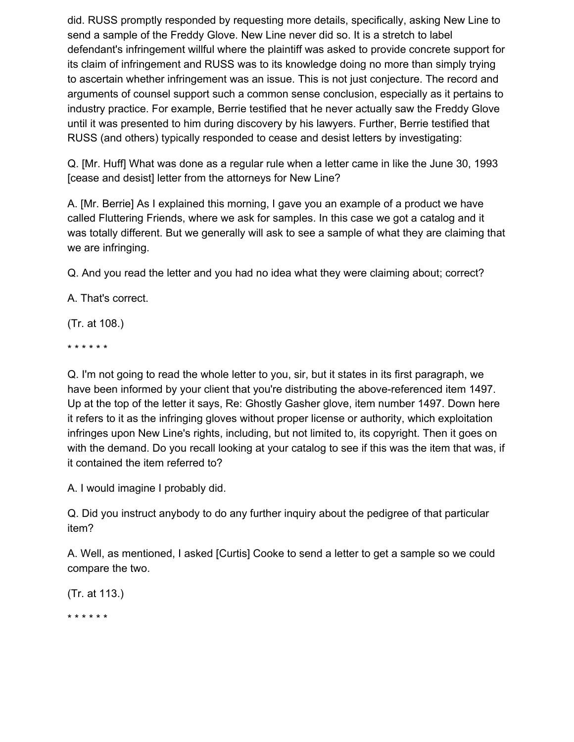did. RUSS promptly responded by requesting more details, specifically, asking New Line to send a sample of the Freddy Glove. New Line never did so. It is a stretch to label defendant's infringement willful where the plaintiff was asked to provide concrete support for its claim of infringement and RUSS was to its knowledge doing no more than simply trying to ascertain whether infringement was an issue. This is not just conjecture. The record and arguments of counsel support such a common sense conclusion, especially as it pertains to industry practice. For example, Berrie testified that he never actually saw the Freddy Glove until it was presented to him during discovery by his lawyers. Further, Berrie testified that RUSS (and others) typically responded to cease and desist letters by investigating:

Q. [Mr. Huff] What was done as a regular rule when a letter came in like the June 30, 1993 [cease and desist] letter from the attorneys for New Line?

A. [Mr. Berrie] As I explained this morning, I gave you an example of a product we have called Fluttering Friends, where we ask for samples. In this case we got a catalog and it was totally different. But we generally will ask to see a sample of what they are claiming that we are infringing.

Q. And you read the letter and you had no idea what they were claiming about; correct?

A. That's correct.

(Tr. at 108.)

\* \* \* \* \* \*

Q. I'm not going to read the whole letter to you, sir, but it states in its first paragraph, we have been informed by your client that you're distributing the above-referenced item 1497. Up at the top of the letter it says, Re: Ghostly Gasher glove, item number 1497. Down here it refers to it as the infringing gloves without proper license or authority, which exploitation infringes upon New Line's rights, including, but not limited to, its copyright. Then it goes on with the demand. Do you recall looking at your catalog to see if this was the item that was, if it contained the item referred to?

A. I would imagine I probably did.

Q. Did you instruct anybody to do any further inquiry about the pedigree of that particular item?

A. Well, as mentioned, I asked [Curtis] Cooke to send a letter to get a sample so we could compare the two.

(Tr. at 113.)

\* \* \* \* \* \*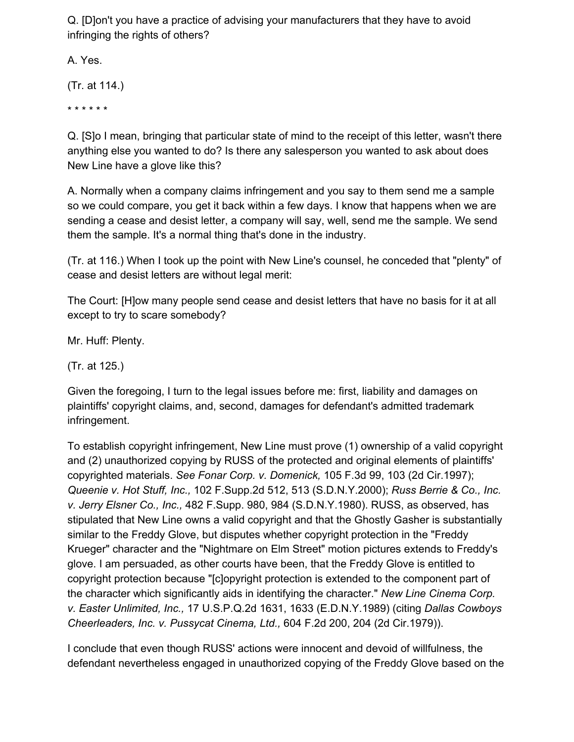Q. [D]on't you have a practice of advising your manufacturers that they have to avoid infringing the rights of others?

A. Yes.

(Tr. at 114.)

\* \* \* \* \* \*

Q. [S]o I mean, bringing that particular state of mind to the receipt of this letter, wasn't there anything else you wanted to do? Is there any salesperson you wanted to ask about does New Line have a glove like this?

A. Normally when a company claims infringement and you say to them send me a sample so we could compare, you get it back within a few days. I know that happens when we are sending a cease and desist letter, a company will say, well, send me the sample. We send them the sample. It's a normal thing that's done in the industry.

(Tr. at 116.) When I took up the point with New Line's counsel, he conceded that "plenty" of cease and desist letters are without legal merit:

The Court: [H]ow many people send cease and desist letters that have no basis for it at all except to try to scare somebody?

Mr. Huff: Plenty.

(Tr. at 125.)

Given the foregoing, I turn to the legal issues before me: first, liability and damages on plaintiffs' copyright claims, and, second, damages for defendant's admitted trademark infringement.

To establish copyright infringement, New Line must prove (1) ownership of a valid copyright and (2) unauthorized copying by RUSS of the protected and original elements of plaintiffs' copyrighted materials. *See Fonar Corp. v. Domenick,* 105 F.3d 99, 103 (2d Cir.1997); *Queenie v. Hot Stuff, Inc.,* 102 F.Supp.2d 512, 513 (S.D.N.Y.2000); *Russ Berrie & Co., Inc. v. Jerry Elsner Co., Inc.,* 482 F.Supp. 980, 984 (S.D.N.Y.1980). RUSS, as observed, has stipulated that New Line owns a valid copyright and that the Ghostly Gasher is substantially similar to the Freddy Glove, but disputes whether copyright protection in the "Freddy Krueger" character and the "Nightmare on Elm Street" motion pictures extends to Freddy's glove. I am persuaded, as other courts have been, that the Freddy Glove is entitled to copyright protection because "[c]opyright protection is extended to the component part of the character which significantly aids in identifying the character." *New Line Cinema Corp. v. Easter Unlimited, Inc.,* 17 U.S.P.Q.2d 1631, 1633 (E.D.N.Y.1989) (citing *Dallas Cowboys Cheerleaders, Inc. v. Pussycat Cinema, Ltd.,* 604 F.2d 200, 204 (2d Cir.1979)).

I conclude that even though RUSS' actions were innocent and devoid of willfulness, the defendant nevertheless engaged in unauthorized copying of the Freddy Glove based on the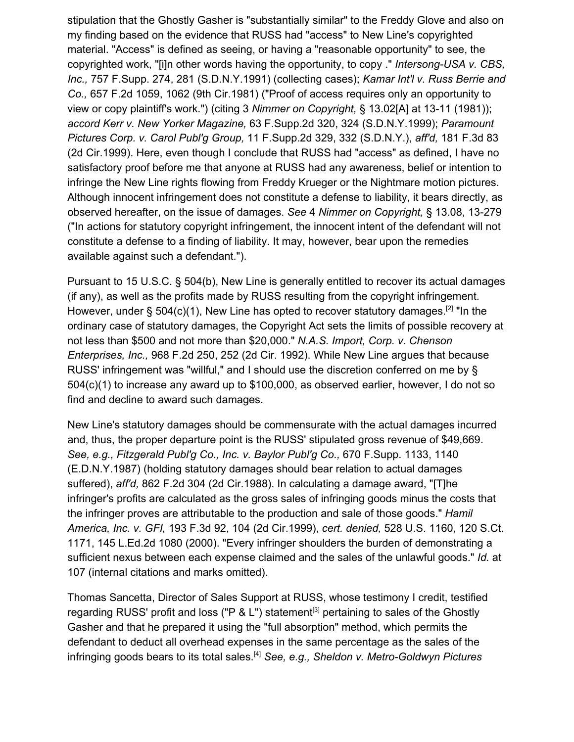stipulation that the Ghostly Gasher is "substantially similar" to the Freddy Glove and also on my finding based on the evidence that RUSS had "access" to New Line's copyrighted material. "Access" is defined as seeing, or having a "reasonable opportunity" to see, the copyrighted work, "[i]n other words having the opportunity, to copy ." *Intersong-USA v. CBS, Inc.,* 757 F.Supp. 274, 281 (S.D.N.Y.1991) (collecting cases); *Kamar Int'l v. Russ Berrie and Co.,* 657 F.2d 1059, 1062 (9th Cir.1981) ("Proof of access requires only an opportunity to view or copy plaintiff's work.") (citing 3 *Nimmer on Copyright,* § 13.02[A] at 13-11 (1981)); *accord Kerr v. New Yorker Magazine,* 63 F.Supp.2d 320, 324 (S.D.N.Y.1999); *Paramount Pictures Corp. v. Carol Publ'g Group,* 11 F.Supp.2d 329, 332 (S.D.N.Y.), *aff'd,* 181 F.3d 83 (2d Cir.1999). Here, even though I conclude that RUSS had "access" as defined, I have no satisfactory proof before me that anyone at RUSS had any awareness, belief or intention to infringe the New Line rights flowing from Freddy Krueger or the Nightmare motion pictures. Although innocent infringement does not constitute a defense to liability, it bears directly, as observed hereafter, on the issue of damages. *See* 4 *Nimmer on Copyright,* § 13.08, 13-279 ("In actions for statutory copyright infringement, the innocent intent of the defendant will not constitute a defense to a finding of liability. It may, however, bear upon the remedies available against such a defendant.").

Pursuant to 15 U.S.C. § 504(b), New Line is generally entitled to recover its actual damages (if any), as well as the profits made by RUSS resulting from the copyright infringement. However, under § 504(c)(1), New Line has opted to recover statutory damages.<sup>[2]</sup> "In the ordinary case of statutory damages, the Copyright Act sets the limits of possible recovery at not less than \$500 and not more than \$20,000." *N.A.S. Import, Corp. v. Chenson Enterprises, Inc.,* 968 F.2d 250, 252 (2d Cir. 1992). While New Line argues that because RUSS' infringement was "willful," and I should use the discretion conferred on me by § 504(c)(1) to increase any award up to \$100,000, as observed earlier, however, I do not so find and decline to award such damages.

New Line's statutory damages should be commensurate with the actual damages incurred and, thus, the proper departure point is the RUSS' stipulated gross revenue of \$49,669. *See, e.g., Fitzgerald Publ'g Co., Inc. v. Baylor Publ'g Co.,* 670 F.Supp. 1133, 1140 (E.D.N.Y.1987) (holding statutory damages should bear relation to actual damages suffered), *aff'd,* 862 F.2d 304 (2d Cir.1988). In calculating a damage award, "[T]he infringer's profits are calculated as the gross sales of infringing goods minus the costs that the infringer proves are attributable to the production and sale of those goods." *Hamil America, Inc. v. GFI,* 193 F.3d 92, 104 (2d Cir.1999), *cert. denied,* 528 U.S. 1160, 120 S.Ct. 1171, 145 L.Ed.2d 1080 (2000). "Every infringer shoulders the burden of demonstrating a sufficient nexus between each expense claimed and the sales of the unlawful goods." *Id.* at 107 (internal citations and marks omitted).

Thomas Sancetta, Director of Sales Support at RUSS, whose testimony I credit, testified regarding RUSS' profit and loss ("P & L") statement<sup>[3]</sup> pertaining to sales of the Ghostly Gasher and that he prepared it using the "full absorption" method, which permits the defendant to deduct all overhead expenses in the same percentage as the sales of the infringing goods bears to its total sales.[4] *See, e.g., Sheldon v. Metro-Goldwyn Pictures*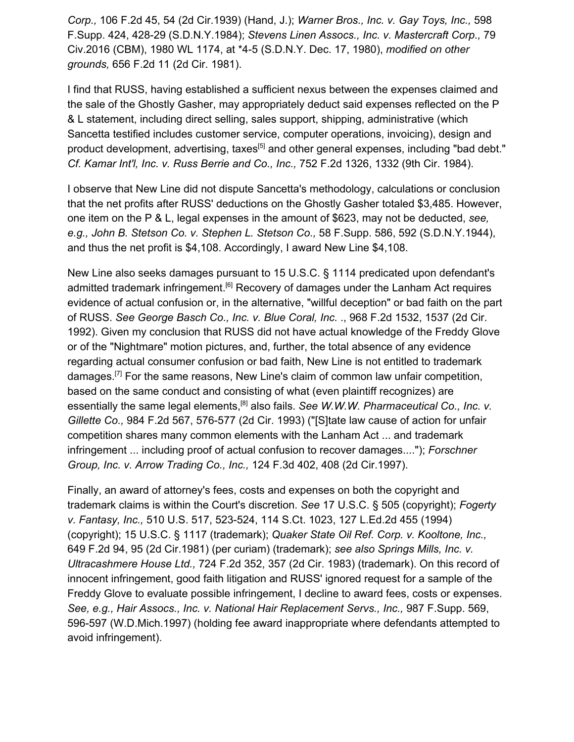*Corp.,* 106 F.2d 45, 54 (2d Cir.1939) (Hand, J.); *Warner Bros., Inc. v. Gay Toys, Inc.,* 598 F.Supp. 424, 428-29 (S.D.N.Y.1984); *Stevens Linen Assocs., Inc. v. Mastercraft Corp.,* 79 Civ.2016 (CBM), 1980 WL 1174, at \*4-5 (S.D.N.Y. Dec. 17, 1980), *modified on other grounds,* 656 F.2d 11 (2d Cir. 1981).

I find that RUSS, having established a sufficient nexus between the expenses claimed and the sale of the Ghostly Gasher, may appropriately deduct said expenses reflected on the P & L statement, including direct selling, sales support, shipping, administrative (which Sancetta testified includes customer service, computer operations, invoicing), design and product development, advertising, taxes<sup>[5]</sup> and other general expenses, including "bad debt." *Cf. Kamar Int'l, Inc. v. Russ Berrie and Co., Inc.,* 752 F.2d 1326, 1332 (9th Cir. 1984).

I observe that New Line did not dispute Sancetta's methodology, calculations or conclusion that the net profits after RUSS' deductions on the Ghostly Gasher totaled \$3,485. However, one item on the P & L, legal expenses in the amount of \$623, may not be deducted, *see, e.g., John B. Stetson Co. v. Stephen L. Stetson Co.,* 58 F.Supp. 586, 592 (S.D.N.Y.1944), and thus the net profit is \$4,108. Accordingly, I award New Line \$4,108.

New Line also seeks damages pursuant to 15 U.S.C. § 1114 predicated upon defendant's admitted trademark infringement.<sup>[6]</sup> Recovery of damages under the Lanham Act requires evidence of actual confusion or, in the alternative, "willful deception" or bad faith on the part of RUSS. *See George Basch Co., Inc. v. Blue Coral, Inc.* ., 968 F.2d 1532, 1537 (2d Cir. 1992). Given my conclusion that RUSS did not have actual knowledge of the Freddy Glove or of the "Nightmare" motion pictures, and, further, the total absence of any evidence regarding actual consumer confusion or bad faith, New Line is not entitled to trademark damages.[7] For the same reasons, New Line's claim of common law unfair competition, based on the same conduct and consisting of what (even plaintiff recognizes) are essentially the same legal elements,<sup>[8]</sup> also fails. See W.W.W. Pharmaceutical Co., Inc. v. *Gillette Co.,* 984 F.2d 567, 576-577 (2d Cir. 1993) ("[S]tate law cause of action for unfair competition shares many common elements with the Lanham Act ... and trademark infringement ... including proof of actual confusion to recover damages...."); *Forschner Group, Inc. v. Arrow Trading Co., Inc.,* 124 F.3d 402, 408 (2d Cir.1997).

Finally, an award of attorney's fees, costs and expenses on both the copyright and trademark claims is within the Court's discretion. *See* 17 U.S.C. § 505 (copyright); *Fogerty v. Fantasy, Inc.,* 510 U.S. 517, 523-524, 114 S.Ct. 1023, 127 L.Ed.2d 455 (1994) (copyright); 15 U.S.C. § 1117 (trademark); *Quaker State Oil Ref. Corp. v. Kooltone, Inc.,* 649 F.2d 94, 95 (2d Cir.1981) (per curiam) (trademark); *see also Springs Mills, Inc. v. Ultracashmere House Ltd.,* 724 F.2d 352, 357 (2d Cir. 1983) (trademark). On this record of innocent infringement, good faith litigation and RUSS' ignored request for a sample of the Freddy Glove to evaluate possible infringement, I decline to award fees, costs or expenses. *See, e.g., Hair Assocs., Inc. v. National Hair Replacement Servs., Inc.,* 987 F.Supp. 569, 596-597 (W.D.Mich.1997) (holding fee award inappropriate where defendants attempted to avoid infringement).